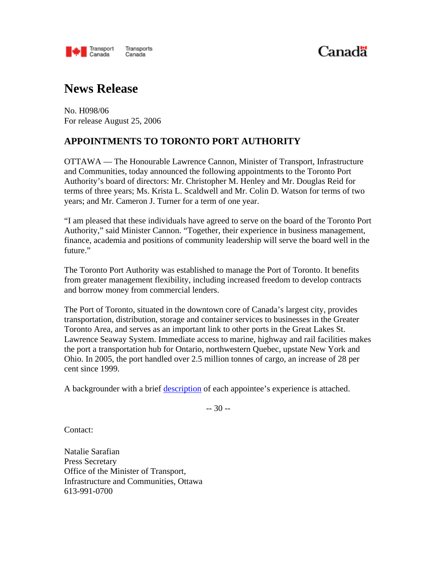

# Canadä

## **News Release**

No. H098/06 For release August 25, 2006

### **APPOINTMENTS TO TORONTO PORT AUTHORITY**

OTTAWA — The Honourable Lawrence Cannon, Minister of Transport, Infrastructure and Communities, today announced the following appointments to the Toronto Port Authority's board of directors: Mr. Christopher M. Henley and Mr. Douglas Reid for terms of three years; Ms. Krista L. Scaldwell and Mr. Colin D. Watson for terms of two years; and Mr. Cameron J. Turner for a term of one year.

"I am pleased that these individuals have agreed to serve on the board of the Toronto Port Authority," said Minister Cannon. "Together, their experience in business management, finance, academia and positions of community leadership will serve the board well in the future."

The Toronto Port Authority was established to manage the Port of Toronto. It benefits from greater management flexibility, including increased freedom to develop contracts and borrow money from commercial lenders.

The Port of Toronto, situated in the downtown core of Canada's largest city, provides transportation, distribution, storage and container services to businesses in the Greater Toronto Area, and serves as an important link to other ports in the Great Lakes St. Lawrence Seaway System. Immediate access to marine, highway and rail facilities makes the port a transportation hub for Ontario, northwestern Quebec, upstate New York and Ohio. In 2005, the port handled over 2.5 million tonnes of cargo, an increase of 28 per cent since 1999.

A backgrounder with a brief description of each appointee's experience is attached.

-- 30 --

Contact:

Natalie Sarafian Press Secretary Office of the Minister of Transport, Infrastructure and Communities, Ottawa 613-991-0700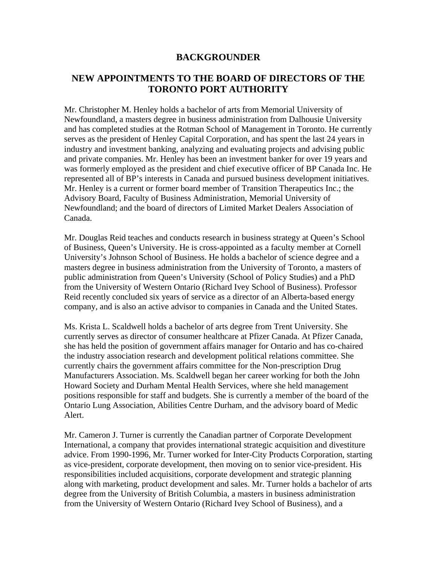#### **BACKGROUNDER**

#### **NEW APPOINTMENTS TO THE BOARD OF DIRECTORS OF THE TORONTO PORT AUTHORITY**

Mr. Christopher M. Henley holds a bachelor of arts from Memorial University of Newfoundland, a masters degree in business administration from Dalhousie University and has completed studies at the Rotman School of Management in Toronto. He currently serves as the president of Henley Capital Corporation, and has spent the last 24 years in industry and investment banking, analyzing and evaluating projects and advising public and private companies. Mr. Henley has been an investment banker for over 19 years and was formerly employed as the president and chief executive officer of BP Canada Inc. He represented all of BP's interests in Canada and pursued business development initiatives. Mr. Henley is a current or former board member of Transition Therapeutics Inc.; the Advisory Board, Faculty of Business Administration, Memorial University of Newfoundland; and the board of directors of Limited Market Dealers Association of Canada.

Mr. Douglas Reid teaches and conducts research in business strategy at Queen's School of Business, Queen's University. He is cross-appointed as a faculty member at Cornell University's Johnson School of Business. He holds a bachelor of science degree and a masters degree in business administration from the University of Toronto, a masters of public administration from Queen's University (School of Policy Studies) and a PhD from the University of Western Ontario (Richard Ivey School of Business). Professor Reid recently concluded six years of service as a director of an Alberta-based energy company, and is also an active advisor to companies in Canada and the United States.

Ms. Krista L. Scaldwell holds a bachelor of arts degree from Trent University. She currently serves as director of consumer healthcare at Pfizer Canada. At Pfizer Canada, she has held the position of government affairs manager for Ontario and has co-chaired the industry association research and development political relations committee. She currently chairs the government affairs committee for the Non-prescription Drug Manufacturers Association. Ms. Scaldwell began her career working for both the John Howard Society and Durham Mental Health Services, where she held management positions responsible for staff and budgets. She is currently a member of the board of the Ontario Lung Association, Abilities Centre Durham, and the advisory board of Medic Alert.

Mr. Cameron J. Turner is currently the Canadian partner of Corporate Development International, a company that provides international strategic acquisition and divestiture advice. From 1990-1996, Mr. Turner worked for Inter-City Products Corporation, starting as vice-president, corporate development, then moving on to senior vice-president. His responsibilities included acquisitions, corporate development and strategic planning along with marketing, product development and sales. Mr. Turner holds a bachelor of arts degree from the University of British Columbia, a masters in business administration from the University of Western Ontario (Richard Ivey School of Business), and a